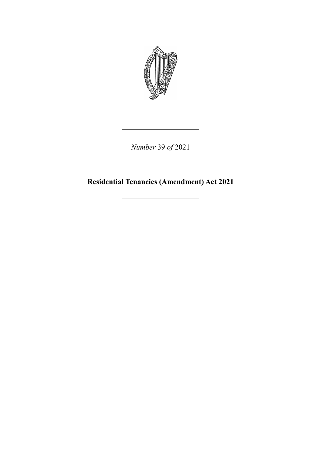

*Number* 39 *of* 2021

**Residential Tenancies (Amendment) Act 2021**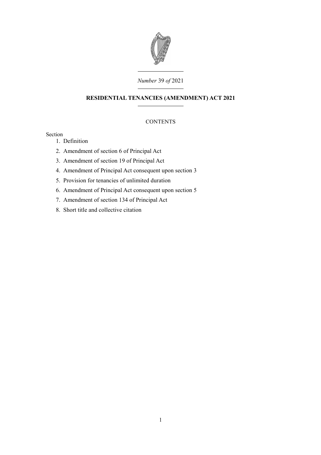

## *Number* 39 *of* 2021

# **RESIDENTIAL TENANCIES (AMENDMENT) ACT 2021**

# **CONTENTS**

## Section

- 1. [Definition](#page-4-0)
- 2. [Amendment of section 6 of Principal Act](#page-4-2)
- 3. [Amendment of section 19 of Principal Act](#page-4-1)
- 4. [Amendment of Principal Act consequent upon section 3](#page-7-1)
- 5. [Provision for tenancies of unlimited duration](#page-7-0)
- 6. [Amendment of Principal Act consequent upon section 5](#page-8-0)
- 7. [Amendment of section 134 of Principal Act](#page-10-1)
- 8. [Short title and collective citation](#page-10-0)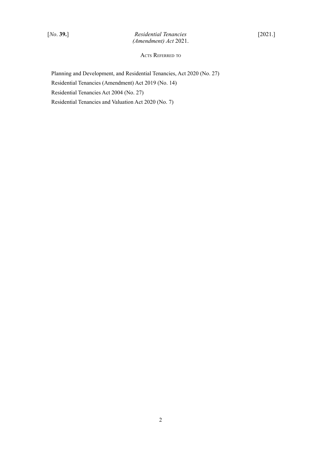ACTS REFERRED TO

Planning and Development, and Residential Tenancies, Act 2020 (No. 27) Residential Tenancies (Amendment) Act 2019 (No. 14) Residential Tenancies Act 2004 (No. 27) Residential Tenancies and Valuation Act 2020 (No. 7)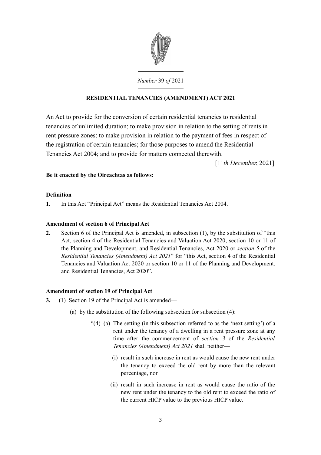

*Number* 39 *of* 2021

# **RESIDENTIAL TENANCIES (AMENDMENT) ACT 2021**

An Act to provide for the conversion of certain residential tenancies to residential tenancies of unlimited duration; to make provision in relation to the setting of rents in rent pressure zones; to make provision in relation to the payment of fees in respect of the registration of certain tenancies; for those purposes to amend the Residential Tenancies Act 2004; and to provide for matters connected therewith.

[11*th December*, 2021]

## **Be it enacted by the Oireachtas as follows:**

## <span id="page-4-0"></span>**Definition**

**1.** In this Act "Principal Act" means the [Residential Tenancies Act 2004.](http://www.irishstatutebook.ie/2004/en/act/pub/0027/index.html)

## <span id="page-4-2"></span>**Amendment of section 6 of Principal Act**

**2.** Section 6 of the Principal Act is amended, in subsection (1), by the substitution of "this Act, section 4 of the [Residential Tenancies and Valuation Act 2020,](http://www.irishstatutebook.ie/eli/2020/act/7/enacted/en/html) section 10 or 11 of the [Planning and Development, and Residential Tenancies, Act 2020](http://www.irishstatutebook.ie/eli/2020/act/27/enacted/en/html) or *section [5](#page-7-2)* of the *Residential Tenancies (Amendment) Act 2021*" for "this Act, section 4 of the [Residential](http://www.irishstatutebook.ie/eli/2020/act/7/enacted/en/html) [Tenancies and Valuation Act 2020](http://www.irishstatutebook.ie/eli/2020/act/7/enacted/en/html) or section 10 or 11 of the [Planning and Development,](http://www.irishstatutebook.ie/eli/2020/act/27/enacted/en/html) [and Residential Tenancies, Act 2020"](http://www.irishstatutebook.ie/eli/2020/act/27/enacted/en/html).

### <span id="page-4-1"></span>**Amendment of section 19 of Principal Act**

- <span id="page-4-3"></span>**3.** (1) Section 19 of the Principal Act is amended—
	- (a) by the substitution of the following subsection for subsection (4):
		- "(4) (a) The setting (in this subsection referred to as the 'next setting') of a rent under the tenancy of a dwelling in a rent pressure zone at any time after the commencement of *section [3](#page-4-3)* of the *Residential Tenancies (Amendment) Act 2021* shall neither—
			- (i) result in such increase in rent as would cause the new rent under the tenancy to exceed the old rent by more than the relevant percentage, nor
			- (ii) result in such increase in rent as would cause the ratio of the new rent under the tenancy to the old rent to exceed the ratio of the current HICP value to the previous HICP value.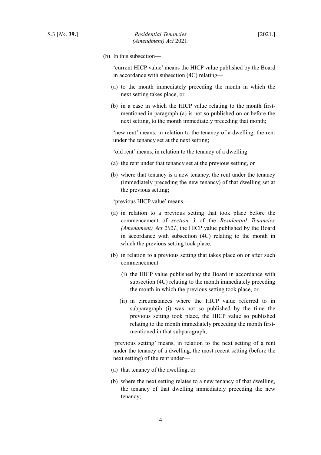(b) In this subsection—

'current HICP value' means the HICP value published by the Board in accordance with subsection (4C) relating—

- (a) to the month immediately preceding the month in which the next setting takes place, or
- (b) in a case in which the HICP value relating to the month firstmentioned in paragraph (a) is not so published on or before the next setting, to the month immediately preceding that month;

'new rent' means, in relation to the tenancy of a dwelling, the rent under the tenancy set at the next setting;

'old rent' means, in relation to the tenancy of a dwelling—

- (a) the rent under that tenancy set at the previous setting, or
- (b) where that tenancy is a new tenancy, the rent under the tenancy (immediately preceding the new tenancy) of that dwelling set at the previous setting;

'previous HICP value' means—

- (a) in relation to a previous setting that took place before the commencement of *section [3](#page-4-3)* of the *Residential Tenancies (Amendment) Act 2021*, the HICP value published by the Board in accordance with subsection (4C) relating to the month in which the previous setting took place,
- (b) in relation to a previous setting that takes place on or after such commencement—
	- (i) the HICP value published by the Board in accordance with subsection (4C) relating to the month immediately preceding the month in which the previous setting took place, or
	- (ii) in circumstances where the HICP value referred to in subparagraph (i) was not so published by the time the previous setting took place, the HICP value so published relating to the month immediately preceding the month firstmentioned in that subparagraph;

'previous setting' means, in relation to the next setting of a rent under the tenancy of a dwelling, the most recent setting (before the next setting) of the rent under—

- (a) that tenancy of the dwelling, or
- (b) where the next setting relates to a new tenancy of that dwelling, the tenancy of that dwelling immediately preceding the new tenancy;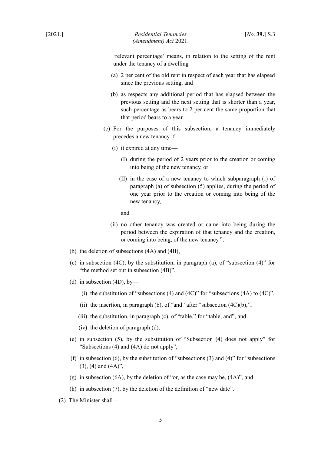'relevant percentage' means, in relation to the setting of the rent under the tenancy of a dwelling—

- (a) 2 per cent of the old rent in respect of each year that has elapsed since the previous setting, and
- (b) as respects any additional period that has elapsed between the previous setting and the next setting that is shorter than a year, such percentage as bears to 2 per cent the same proportion that that period bears to a year.
- (c) For the purposes of this subsection, a tenancy immediately precedes a new tenancy if—
	- (i) it expired at any time—
		- (I) during the period of 2 years prior to the creation or coming into being of the new tenancy, or
		- (II) in the case of a new tenancy to which subparagraph (i) of paragraph (a) of subsection (5) applies, during the period of one year prior to the creation or coming into being of the new tenancy,

and

- (ii) no other tenancy was created or came into being during the period between the expiration of that tenancy and the creation, or coming into being, of the new tenancy.",
- (b) the deletion of subsections (4A) and (4B),
- (c) in subsection (4C), by the substitution, in paragraph (a), of "subsection (4)" for "the method set out in subsection (4B)",
- (d) in subsection (4D), by—
	- (i) the substitution of "subsections (4) and (4C)" for "subsections (4A) to (4C)",
	- (ii) the insertion, in paragraph (b), of "and" after "subsection  $(4C)(b)$ ,",
	- (iii) the substitution, in paragraph (c), of "table." for "table, and", and
	- (iv) the deletion of paragraph (d),
- (e) in subsection (5), by the substitution of "Subsection (4) does not apply" for "Subsections (4) and (4A) do not apply",
- (f) in subsection (6), by the substitution of "subsections  $(3)$  and  $(4)$ " for "subsections (3), (4) and (4A)",
- (g) in subsection (6A), by the deletion of "or, as the case may be, (4A)", and
- (h) in subsection (7), by the deletion of the definition of "new date".
- (2) The Minister shall—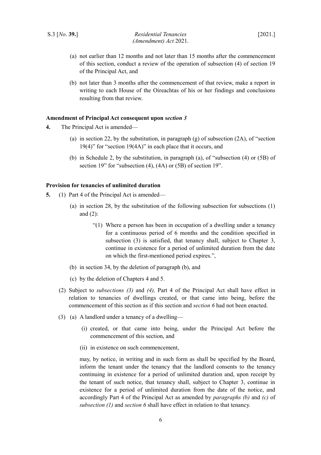- (a) not earlier than 12 months and not later than 15 months after the commencement of this section, conduct a review of the operation of subsection (4) of section 19 of the Principal Act, and
- (b) not later than 3 months after the commencement of that review, make a report in writing to each House of the Oireachtas of his or her findings and conclusions resulting from that review.

#### <span id="page-7-1"></span>**Amendment of Principal Act consequent upon** *section [3](#page-4-3)*

- **4.** The Principal Act is amended—
	- (a) in section 22, by the substitution, in paragraph (g) of subsection  $(2A)$ , of "section 19(4)" for "section 19(4A)" in each place that it occurs, and
	- (b) in Schedule 2, by the substitution, in paragraph (a), of "subsection (4) or (5B) of section 19" for "subsection (4), (4A) or (5B) of section 19".

#### <span id="page-7-0"></span>**Provision for tenancies of unlimited duration**

- <span id="page-7-5"></span><span id="page-7-3"></span><span id="page-7-2"></span>**5.** (1) Part 4 of the Principal Act is amended—
	- (a) in section 28, by the substitution of the following subsection for subsections (1) and (2):
		- "(1) Where a person has been in occupation of a dwelling under a tenancy for a continuous period of 6 months and the condition specified in subsection (3) is satisfied, that tenancy shall, subject to Chapter 3, continue in existence for a period of unlimited duration from the date on which the first-mentioned period expires.",
	- (b) in section 34, by the deletion of paragraph (b), and
	- (c) by the deletion of Chapters 4 and 5.
	- (2) Subject to *subsections [\(3\)](#page-7-6)* and *[\(4\),](#page-8-2)* Part 4 of the Principal Act shall have effect in relation to tenancies of dwellings created, or that came into being, before the commencement of this section as if this section and *section [6](#page-8-1)* had not been enacted.
	- (3) (a) A landlord under a tenancy of a dwelling—
		- (i) created, or that came into being, under the Principal Act before the commencement of this section, and
		- (ii) in existence on such commencement,

<span id="page-7-7"></span><span id="page-7-6"></span><span id="page-7-4"></span>may, by notice, in writing and in such form as shall be specified by the Board, inform the tenant under the tenancy that the landlord consents to the tenancy continuing in existence for a period of unlimited duration and, upon receipt by the tenant of such notice, that tenancy shall, subject to Chapter 3, continue in existence for a period of unlimited duration from the date of the notice, and accordingly Part 4 of the Principal Act as amended by *paragraphs [\(b\)](#page-7-5)* and *[\(c\)](#page-7-4)* of *subsection [\(1\)](#page-7-3)* and *section [6](#page-8-1)* shall have effect in relation to that tenancy.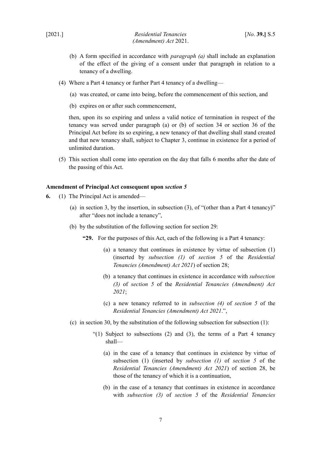- (b) A form specified in accordance with *paragraph [\(a\)](#page-7-7)* shall include an explanation of the effect of the giving of a consent under that paragraph in relation to a tenancy of a dwelling.
- <span id="page-8-2"></span>(4) Where a Part 4 tenancy or further Part 4 tenancy of a dwelling—
	- (a) was created, or came into being, before the commencement of this section, and
	- (b) expires on or after such commencement,

then, upon its so expiring and unless a valid notice of termination in respect of the tenancy was served under paragraph (a) or (b) of section 34 or section 36 of the Principal Act before its so expiring, a new tenancy of that dwelling shall stand created and that new tenancy shall, subject to Chapter 3, continue in existence for a period of unlimited duration.

(5) This section shall come into operation on the day that falls 6 months after the date of the passing of this Act.

#### <span id="page-8-0"></span>**Amendment of Principal Act consequent upon** *section [5](#page-7-2)*

- <span id="page-8-1"></span>**6.** (1) The Principal Act is amended—
	- (a) in section 3, by the insertion, in subsection (3), of "(other than a Part 4 tenancy)" after "does not include a tenancy",
	- (b) by the substitution of the following section for section 29:
		- **"29.** For the purposes of this Act, each of the following is a Part 4 tenancy:
			- (a) a tenancy that continues in existence by virtue of subsection (1) (inserted by *subsection [\(1\)](#page-7-3)* of *section [5](#page-7-2)* of the *Residential Tenancies (Amendment) Act 2021*) of section 28;
			- (b) a tenancy that continues in existence in accordance with *subsection [\(3\)](#page-7-6)* of *section [5](#page-7-2)* of the *Residential Tenancies (Amendment) Act 2021*;
			- (c) a new tenancy referred to in *subsection [\(4\)](#page-8-2)* of *section [5](#page-7-2)* of the *Residential Tenancies (Amendment) Act 2021*.",
	- (c) in section 30, by the substitution of the following subsection for subsection (1):
		- "(1) Subject to subsections  $(2)$  and  $(3)$ , the terms of a Part 4 tenancy shall—
			- (a) in the case of a tenancy that continues in existence by virtue of subsection (1) (inserted by *subsection [\(1\)](#page-7-3)* of *section [5](#page-7-2)* of the *Residential Tenancies (Amendment) Act 2021*) of section 28, be those of the tenancy of which it is a continuation,
			- (b) in the case of a tenancy that continues in existence in accordance with *subsection [\(3\)](#page-7-6)* of *section [5](#page-7-2)* of the *Residential Tenancies*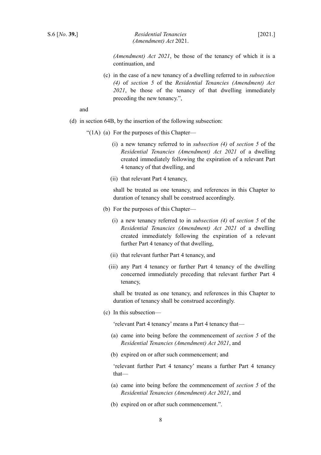*(Amendment) Act 2021*, be those of the tenancy of which it is a continuation, and

(c) in the case of a new tenancy of a dwelling referred to in *subsection [\(4\)](#page-8-2)* of *section [5](#page-7-2)* of the *Residential Tenancies (Amendment) Act 2021*, be those of the tenancy of that dwelling immediately preceding the new tenancy.",

and

- (d) in section 64B, by the insertion of the following subsection:
	- "(1A) (a) For the purposes of this Chapter—
		- (i) a new tenancy referred to in *subsection [\(4\)](#page-8-2)* of *section [5](#page-7-2)* of the *Residential Tenancies (Amendment) Act 2021* of a dwelling created immediately following the expiration of a relevant Part 4 tenancy of that dwelling, and
		- (ii) that relevant Part 4 tenancy,

shall be treated as one tenancy, and references in this Chapter to duration of tenancy shall be construed accordingly.

- (b) For the purposes of this Chapter—
	- (i) a new tenancy referred to in *subsection [\(4\)](#page-8-2)* of *section [5](#page-7-2)* of the *Residential Tenancies (Amendment) Act 2021* of a dwelling created immediately following the expiration of a relevant further Part 4 tenancy of that dwelling,
	- (ii) that relevant further Part 4 tenancy, and
	- (iii) any Part 4 tenancy or further Part 4 tenancy of the dwelling concerned immediately preceding that relevant further Part 4 tenancy,

shall be treated as one tenancy, and references in this Chapter to duration of tenancy shall be construed accordingly.

(c) In this subsection—

'relevant Part 4 tenancy' means a Part 4 tenancy that—

- (a) came into being before the commencement of *section [5](#page-7-2)* of the *Residential Tenancies (Amendment) Act 2021*, and
- (b) expired on or after such commencement; and

'relevant further Part 4 tenancy' means a further Part 4 tenancy that—

- (a) came into being before the commencement of *section [5](#page-7-2)* of the *Residential Tenancies (Amendment) Act 2021*, and
- (b) expired on or after such commencement.".